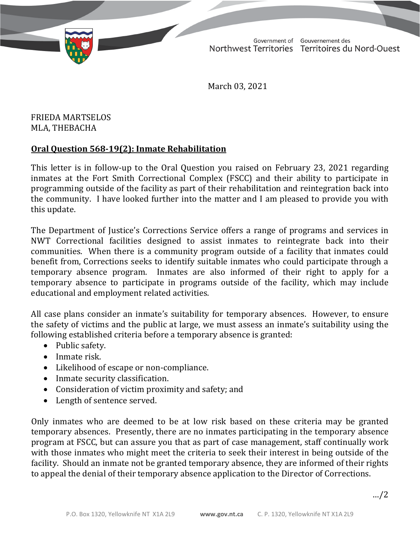TD 340-19(2) TABLED ON MARCH 3, 2021

Government of Gouvernement des Northwest Territories Territoires du Nord-Ouest

March 03, 2021

FRIEDA MARTSELOS MLA, THEBACHA

## **Oral Question 568-19(2): Inmate Rehabilitation**

This letter is in follow-up to the Oral Question you raised on February 23, 2021 regarding inmates at the Fort Smith Correctional Complex (FSCC) and their ability to participate in programming outside of the facility as part of their rehabilitation and reintegration back into the community. I have looked further into the matter and I am pleased to provide you with this update.

The Department of Justice's Corrections Service offers a range of programs and services in NWT Correctional facilities designed to assist inmates to reintegrate back into their communities. When there is a community program outside of a facility that inmates could benefit from, Corrections seeks to identify suitable inmates who could participate through a temporary absence program. Inmates are also informed of their right to apply for a temporary absence to participate in programs outside of the facility, which may include educational and employment related activities.

All case plans consider an inmate's suitability for temporary absences. However, to ensure the safety of victims and the public at large, we must assess an inmate's suitability using the following established criteria before a temporary absence is granted:

- Public safety.
- Inmate risk.
- Likelihood of escape or non-compliance.
- Inmate security classification.
- Consideration of victim proximity and safety; and
- Length of sentence served.

Only inmates who are deemed to be at low risk based on these criteria may be granted temporary absences. Presently, there are no inmates participating in the temporary absence program at FSCC, but can assure you that as part of case management, staff continually work with those inmates who might meet the criteria to seek their interest in being outside of the facility. Should an inmate not be granted temporary absence, they are informed of their rights to appeal the denial of their temporary absence application to the Director of Corrections.